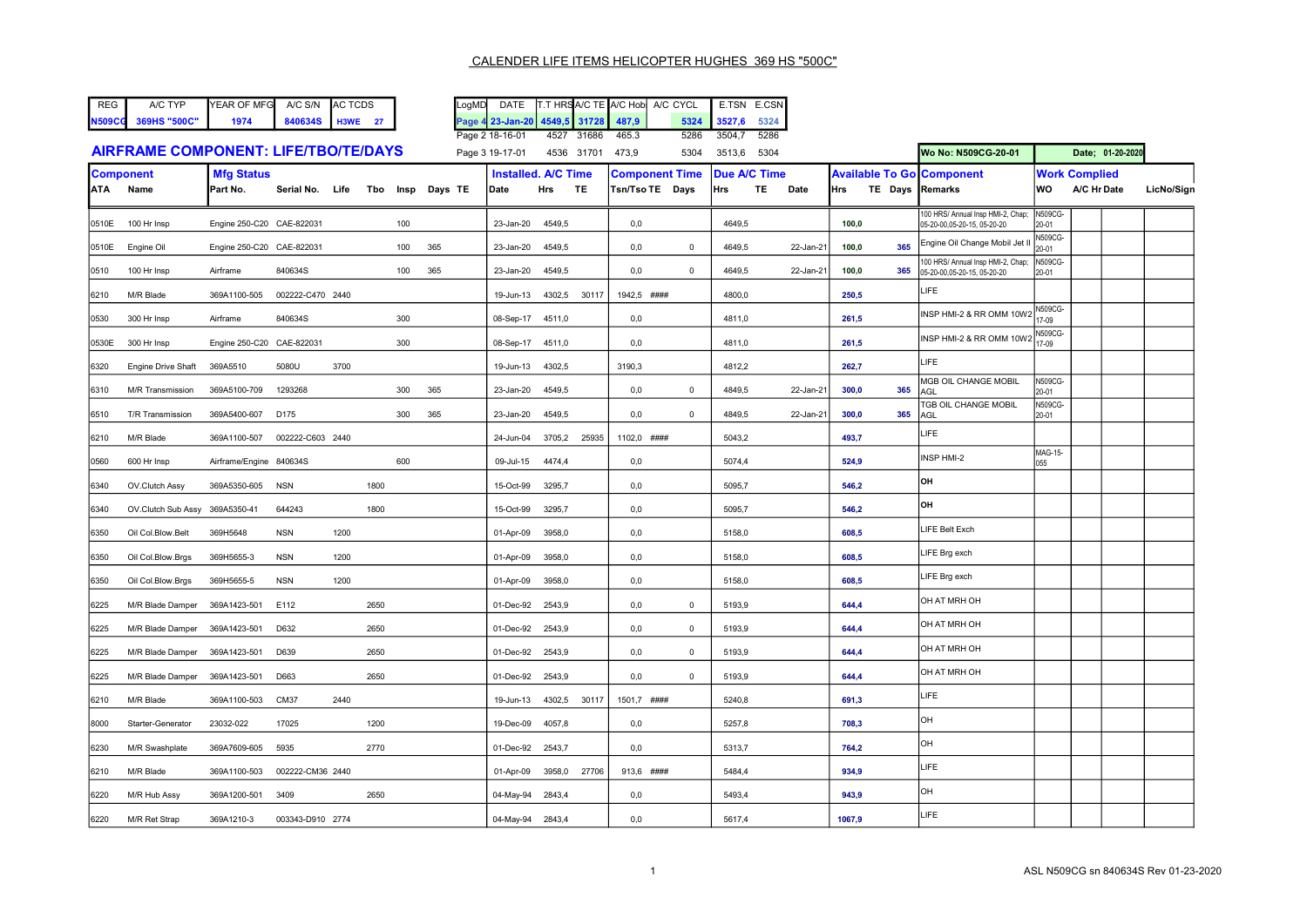LogMD DATE T.T HRSA/C TE A/C Hob A/C CYCL E.TSN E.CSN<br>Page 4 23-Jan-20 4549,5 31728 487,9 5324 3527,6 5324

|       |                                             |                               |                  |      |      |     |              | Page 2 18-16-01                    |        | 4527 31686 | 465.3                                    | 5286           | 3504,7              | 5286 |           |       |                 |                                                                 |                         |                                     |                  |            |
|-------|---------------------------------------------|-------------------------------|------------------|------|------|-----|--------------|------------------------------------|--------|------------|------------------------------------------|----------------|---------------------|------|-----------|-------|-----------------|-----------------------------------------------------------------|-------------------------|-------------------------------------|------------------|------------|
|       | <b>AIRFRAME COMPONENT: LIFE/TBO/TE/DAYS</b> |                               |                  |      |      |     |              | Page 3 19-17-01                    |        | 4536 31701 | 473,9                                    | 5304           | 3513,6              | 5304 |           |       |                 | Wo No: N509CG-20-01                                             |                         |                                     | Date; 01-20-2020 |            |
|       | <b>Component</b><br>ATA Name                | <b>Mfg Status</b><br>Part No. | Serial No. Life  |      | Tbo  |     | Insp Days TE | <b>Installed. A/C Time</b><br>Date | Hrs    | TE         | <b>Component Time</b><br>Tsn/Tso TE Days |                | Due A/C Time<br>Hrs | TE   | Date      | Illrs | TE Days Remarks | <b>Available To Go Component</b>                                | WO                      | <b>Work Complied</b><br>A/C Hr Date |                  | LicNo/Sign |
| 0510E | 100 Hr Insp                                 | Engine 250-C20 CAE-822031     |                  |      |      | 100 |              | 23-Jan-20                          | 4549,5 |            | 0,0                                      |                | 4649,5              |      |           | 100,0 |                 | 100 HRS/ Annual Insp HMI-2, Chap;<br>05-20-00.05-20-15.05-20-20 | N509CG-<br>20-01        |                                     |                  |            |
| 0510E | Engine Oil                                  | Engine 250-C20 CAE-822031     |                  |      |      | 100 | 365          | 23-Jan-20                          | 4549,5 |            | 0,0                                      | $\mathbf 0$    | 4649,5              |      | 22-Jan-21 | 100,0 | 365             | Engine Oil Change Mobil Jet I                                   | N509CG-<br>20-01        |                                     |                  |            |
| 0510  | 100 Hr Insp                                 | Airframe                      | 840634S          |      |      | 100 | 365          | 23-Jan-20                          | 4549,5 |            | 0,0                                      | $\mathbf 0$    | 4649,5              |      | 22-Jan-21 | 100,0 | 365             | 00 HRS/ Annual Insp HMI-2, Chap;<br>05-20-00.05-20-15.05-20-20  | N509CG-<br>20-01        |                                     |                  |            |
| 6210  | M/R Blade                                   | 369A1100-505                  | 002222-C470 2440 |      |      |     |              | 19-Jun-13                          | 4302,5 | 30117      | 1942.5 ####                              |                | 4800.0              |      |           | 250.5 |                 | LIFE                                                            |                         |                                     |                  |            |
| 0530  | 300 Hr Insp                                 | Airframe                      | 840634S          |      |      | 300 |              | 08-Sep-17                          | 4511,0 |            | 0,0                                      |                | 4811,0              |      |           | 261.5 |                 | INSP HMI-2 & RR OMM 10W2                                        | <b>V509CG-</b><br>17-09 |                                     |                  |            |
| 0530E | 300 Hr Insp                                 | Engine 250-C20 CAE-822031     |                  |      |      | 300 |              | 08-Sep-17 4511,0                   |        |            | 0,0                                      |                | 4811.0              |      |           | 261.5 |                 | INSP HMI-2 & RR OMM 10W2                                        | <b>V509CG-</b><br>17-09 |                                     |                  |            |
| 6320  | <b>Engine Drive Shaft</b>                   | 369A5510                      | 5080U            | 3700 |      |     |              | 19-Jun-13                          | 4302,5 |            | 3190,3                                   |                | 4812,2              |      |           | 262,7 |                 | LIFE                                                            |                         |                                     |                  |            |
| 6310  | <b>M/R Transmission</b>                     | 369A5100-709                  | 1293268          |      |      | 300 | 365          | 23-Jan-20                          | 4549,5 |            | 0,0                                      | $\mathbf 0$    | 4849,5              |      | 22-Jan-21 | 300,0 | 365             | MGB OIL CHANGE MOBIL<br>AGL                                     | N509CG-<br>20-01        |                                     |                  |            |
| 6510  | T/R Transmission                            | 369A5400-607                  | D175             |      |      | 300 | 365          | 23-Jan-20                          | 4549,5 |            | 0,0                                      | $\overline{0}$ | 4849,5              |      | 22-Jan-21 | 300,0 | 365             | <b><i>IGB OIL CHANGE MOBIL</i></b><br>AGL                       | N509CG-<br>20-01        |                                     |                  |            |
| 6210  | M/R Blade                                   | 369A1100-507                  | 002222-C603 2440 |      |      |     |              | 24-Jun-04                          | 3705,2 | 25935      | 1102,0 ####                              |                | 5043,2              |      |           | 493,7 |                 | LIFE                                                            |                         |                                     |                  |            |
| 0560  | 600 Hr Insp                                 | Airframe/Engine 840634S       |                  |      |      | 600 |              | 09-Jul-15                          | 4474,4 |            | $_{0,0}$                                 |                | 5074,4              |      |           | 524,9 |                 | INSP HMI-2                                                      | MAG-15-<br>055          |                                     |                  |            |
| 6340  | OV.Clutch Assy                              | 369A5350-605                  | <b>NSN</b>       |      | 1800 |     |              | 15-Oct-99                          | 3295,7 |            | 0,0                                      |                | 5095,7              |      |           | 546,2 |                 | lон                                                             |                         |                                     |                  |            |
| 6340  | OV.Clutch Sub Assy                          | 369A5350-41                   | 644243           |      | 1800 |     |              | 15-Oct-99                          | 3295,7 |            | 0,0                                      |                | 5095,7              |      |           | 546,2 |                 | OH                                                              |                         |                                     |                  |            |
| 6350  | Oil Col.Blow.Belt                           | 369H5648                      | <b>NSN</b>       | 1200 |      |     |              | 01-Apr-09                          | 3958,0 |            | 0,0                                      |                | 5158,0              |      |           | 608,5 |                 | LIFE Belt Exch                                                  |                         |                                     |                  |            |
| 6350  | Oil Col.Blow.Brgs                           | 369H5655-3                    | <b>NSN</b>       | 1200 |      |     |              | 01-Apr-09                          | 3958,0 |            | 0,0                                      |                | 5158,0              |      |           | 608,5 |                 | LIFE Brg exch                                                   |                         |                                     |                  |            |
| 6350  | Oil Col.Blow.Brgs                           | 369H5655-5                    | <b>NSN</b>       | 1200 |      |     |              | 01-Apr-09                          | 3958,0 |            | 0,0                                      |                | 5158,0              |      |           | 608,5 |                 | LIFE Brg exch                                                   |                         |                                     |                  |            |
| 6225  | M/R Blade Damper                            | 369A1423-501                  | E112             |      | 2650 |     |              | 01-Dec-92 2543,9                   |        |            | 0,0                                      | $\mathbf 0$    | 5193,9              |      |           | 644,4 |                 | OH AT MRH OH                                                    |                         |                                     |                  |            |
| 6225  | M/R Blade Damper                            | 369A1423-501                  | D632             |      | 2650 |     |              | 01-Dec-92 2543,9                   |        |            | 0,0                                      | $\mathbf{0}$   | 5193,9              |      |           | 644,4 |                 | OH AT MRH OH                                                    |                         |                                     |                  |            |
| 6225  | M/R Blade Damper                            | 369A1423-501                  | D639             |      | 2650 |     |              | 01-Dec-92                          | 2543,9 |            | 0,0                                      | $\overline{0}$ | 5193,9              |      |           | 644,4 |                 | OH AT MRH OH                                                    |                         |                                     |                  |            |
| 6225  | M/R Blade Damper                            | 369A1423-501                  | D663             |      | 2650 |     |              | 01-Dec-92 2543,9                   |        |            | 0,0                                      | $\mathbf{0}$   | 5193,9              |      |           | 644,4 |                 | OH AT MRH OH                                                    |                         |                                     |                  |            |
| 6210  | M/R Blade                                   | 369A1100-503                  | CM37             | 2440 |      |     |              | 19-Jun-13                          | 4302,5 | 30117      | 1501,7 ####                              |                | 5240,8              |      |           | 691,3 |                 | LIFE                                                            |                         |                                     |                  |            |
| 8000  | Starter-Generator                           | 23032-022                     | 17025            |      | 1200 |     |              | 19-Dec-09                          | 4057,8 |            | 0,0                                      |                | 5257,8              |      |           | 708,3 |                 | OH                                                              |                         |                                     |                  |            |
| 6230  | M/R Swashplate                              | 369A7609-605                  | 5935             |      | 2770 |     |              | 01-Dec-92 2543,7                   |        |            | 0,0                                      |                | 5313,7              |      |           | 764,2 |                 | OH                                                              |                         |                                     |                  |            |
| 6210  | M/R Blade                                   | 369A1100-503                  | 002222-CM36 2440 |      |      |     |              | 01-Apr-09                          | 3958,0 | 27706      | 913,6 ####                               |                | 5484,4              |      |           | 934,9 |                 | <b>LIFE</b>                                                     |                         |                                     |                  |            |

6220 M/R Hub Assy 369A1200-501 3409 2650 04-May-94 2843,4 0,0 5493,4 943,9 OH 6220 M/R Ret Strap 369A1210-3 003343-D910 2774 04-May-94 2843,4 0,0 5617,4 1067,9 LIFE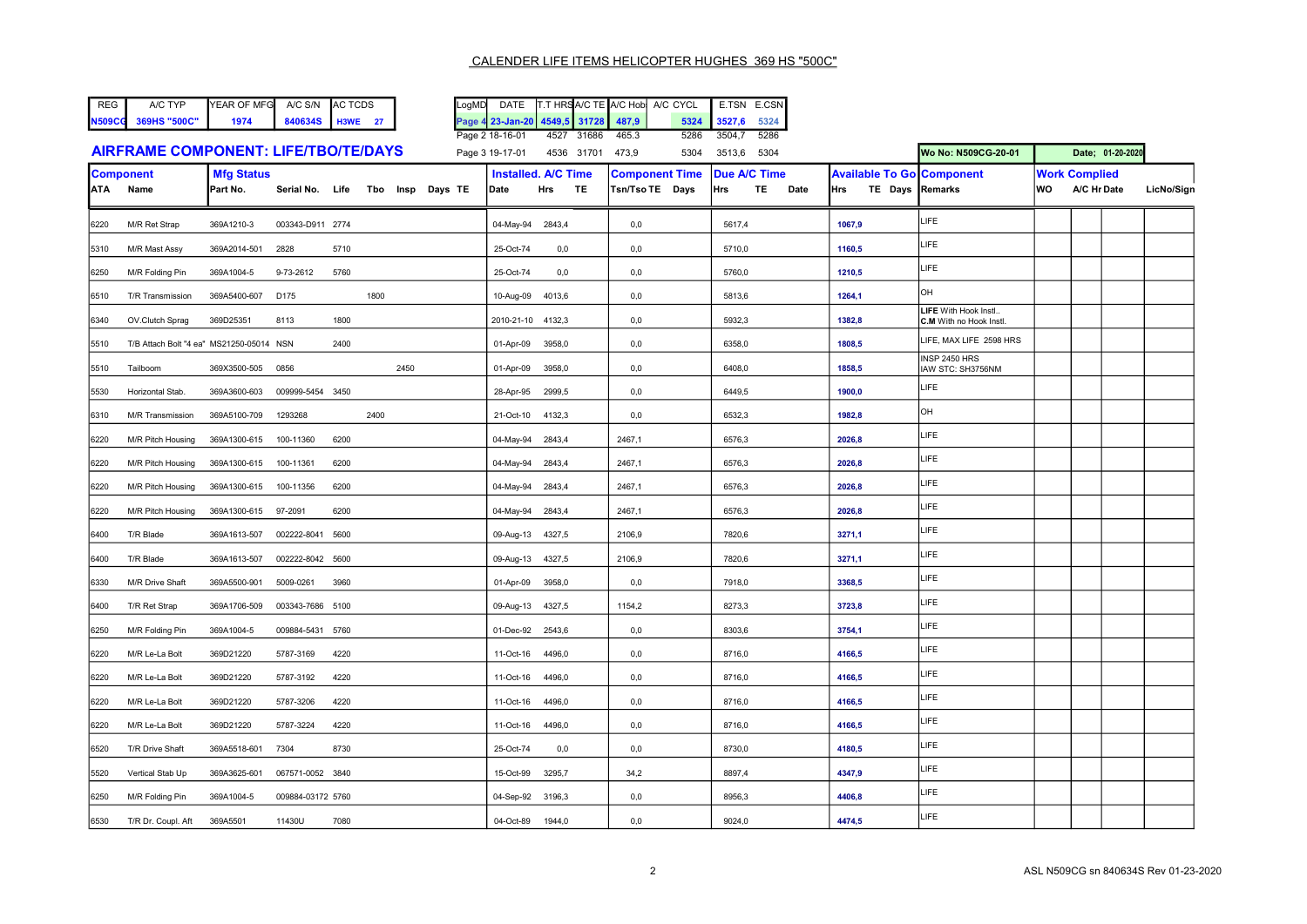| REG | A/C TYP             | YEAR OF MFG A/C S/N AC TCDS |                 |
|-----|---------------------|-----------------------------|-----------------|
|     | N509CG 369HS "500C" | 1974                        | 840634S H3WE 27 |

| <b>REG</b> | A/C TYP      | <b>IYEAR OF MFG</b> | A/C S/N      | <b>AC TCDS</b> | LoaMD | DATE                                |      |       | IT.T HRSIA/C TE IA/C HobI A/C CYCL |      | E.TSN   | E.CSN |
|------------|--------------|---------------------|--------------|----------------|-------|-------------------------------------|------|-------|------------------------------------|------|---------|-------|
| N509CG     | 369HS "500C" | 1974                | 840634S H3WE |                |       | Page 4 23-Jan-20 4549.5 31728 487.9 |      |       |                                    | 5324 | 13527.6 | 5324  |
|            |              |                     |              |                |       | Page 2 18-16-01                     | 4527 | 31686 | 465.3                              | 5286 | 3504.   | 5286  |

|                                      | Faue Z 10-10-01                  | 4021 91000 400.0 |  | ນເດບ | - 3304.7    | ⊇ວ∠ວບ |                     |                  |
|--------------------------------------|----------------------------------|------------------|--|------|-------------|-------|---------------------|------------------|
| AIRFRAME COMPONENT: LIFE/TBO/TE/DAYS | Page 3 19-17-01 4536 31701 473,9 |                  |  | 5304 | 3513,6 5304 |       | Wo No: N509CG-20-01 | Date; 01-20-2020 |

|      | <b>Component</b>                         | <b>Mfg Status</b> |                                  |      |      |      |                   | <b>Installed. A/C Time</b> | <b>Component Time</b> | Due A/C Time   | <b>Available To Go Component</b> |                                                        | <b>Work Complied</b> |             |            |
|------|------------------------------------------|-------------------|----------------------------------|------|------|------|-------------------|----------------------------|-----------------------|----------------|----------------------------------|--------------------------------------------------------|----------------------|-------------|------------|
|      | ATA Name                                 | Part No.          | Serial No. Life Tbo Insp Days TE |      |      |      | Date              | Hrs TE                     | Tsn/Tso TE Days       | Hrs<br>TE Date | Hrs TE Days Remarks              |                                                        | lwo                  | A/C Hr Date | LicNo/Sign |
|      |                                          |                   |                                  |      |      |      |                   |                            |                       |                |                                  |                                                        |                      |             |            |
| 6220 | M/R Ret Strap                            | 369A1210-3        | 003343-D911 2774                 |      |      |      | 04-May-94         | 2843,4                     | 0,0                   | 5617,4         | 1067,9                           | LIFE                                                   |                      |             |            |
| 5310 | M/R Mast Assy                            | 369A2014-501      | 2828                             | 5710 |      |      | 25-Oct-74         | $_{0,0}$                   | 0,0                   | 5710,0         | 1160,5                           | <b>LIFE</b>                                            |                      |             |            |
| 6250 | M/R Folding Pin                          | 369A1004-5        | 9-73-2612                        | 5760 |      |      | 25-Oct-74         | 0,0                        | 0,0                   | 5760,0         | 1210,5                           | <b>LIFE</b>                                            |                      |             |            |
| 6510 | T/R Transmission                         | 369A5400-607      | D175                             |      | 1800 |      | 10-Aug-09         | 4013,6                     | 0,0                   | 5813,6         | 1264,1                           | OH                                                     |                      |             |            |
| 6340 | OV.Clutch Sprag                          | 369D25351         | 8113                             | 1800 |      |      | 2010-21-10 4132,3 |                            | 0,0                   | 5932,3         | 1382,8                           | <b>LIFE</b> With Hook Instl<br>C.M With no Hook Instl. |                      |             |            |
| 5510 | T/B Attach Bolt "4 ea" MS21250-05014 NSN |                   |                                  | 2400 |      |      | 01-Apr-09         | 3958,0                     | 0,0                   | 6358,0         | 1808,5                           | LIFE, MAX LIFE 2598 HRS                                |                      |             |            |
| 5510 | Tailboom                                 | 369X3500-505      | 0856                             |      |      | 2450 | 01-Apr-09         | 3958,0                     | 0,0                   | 6408,0         | 1858,5                           | INSP 2450 HRS<br>IAW STC: SH3756NM                     |                      |             |            |
| 5530 | Horizontal Stab.                         | 369A3600-603      | 009999-5454 3450                 |      |      |      | 28-Apr-95         | 2999,5                     | 0,0                   | 6449,5         | 1900,0                           | <b>LIFE</b>                                            |                      |             |            |
| 6310 | M/R Transmission                         | 369A5100-709      | 1293268                          |      | 2400 |      | 21-Oct-10         | 4132,3                     | 0,0                   | 6532,3         | 1982,8                           | OH                                                     |                      |             |            |
| 6220 | M/R Pitch Housing                        | 369A1300-615      | 100-11360                        | 6200 |      |      | 04-May-94         | 2843,4                     | 2467,1                | 6576,3         | 2026,8                           | <b>LIFE</b>                                            |                      |             |            |
| 6220 | M/R Pitch Housing                        | 369A1300-615      | 100-11361                        | 6200 |      |      | 04-May-94 2843,4  |                            | 2467,1                | 6576,3         | 2026,8                           | LIFE                                                   |                      |             |            |
| 6220 | M/R Pitch Housing                        | 369A1300-615      | 100-11356                        | 6200 |      |      | 04-May-94 2843,4  |                            | 2467,1                | 6576,3         | 2026,8                           | LIFE                                                   |                      |             |            |
| 6220 | M/R Pitch Housing                        | 369A1300-615      | 97-2091                          | 6200 |      |      | 04-May-94 2843,4  |                            | 2467,1                | 6576,3         | 2026.8                           | <b>LIFE</b>                                            |                      |             |            |
| 6400 | T/R Blade                                | 369A1613-507      | 002222-8041 5600                 |      |      |      | 09-Aug-13 4327,5  |                            | 2106,9                | 7820,6         | 3271,1                           | LIFE                                                   |                      |             |            |
| 6400 | T/R Blade                                | 369A1613-507      | 002222-8042 5600                 |      |      |      | 09-Aug-13 4327,5  |                            | 2106,9                | 7820,6         | 3271,1                           | LIFE                                                   |                      |             |            |
| 6330 | M/R Drive Shaft                          | 369A5500-901      | 5009-0261                        | 3960 |      |      | 01-Apr-09         | 3958,0                     | 0,0                   | 7918,0         | 3368,5                           | LIFE                                                   |                      |             |            |
| 6400 | T/R Ret Strap                            | 369A1706-509      | 003343-7686 5100                 |      |      |      | 09-Aug-13         | 4327,5                     | 1154,2                | 8273,3         | 3723,8                           | LIFE                                                   |                      |             |            |
| 6250 | M/R Folding Pin                          | 369A1004-5        | 009884-5431 5760                 |      |      |      | 01-Dec-92 2543,6  |                            | 0,0                   | 8303,6         | 3754,1                           | <b>LIFE</b>                                            |                      |             |            |
| 6220 | M/R Le-La Bolt                           | 369D21220         | 5787-3169                        | 4220 |      |      | 11-Oct-16 4496,0  |                            | 0,0                   | 8716,0         | 4166,5                           | LIFE                                                   |                      |             |            |
| 6220 | M/R Le-La Bolt                           | 369D21220         | 5787-3192                        | 4220 |      |      | 11-Oct-16         | 4496,0                     | 0,0                   | 8716,0         | 4166,5                           | LIFE                                                   |                      |             |            |
| 6220 | M/R Le-La Bolt                           | 369D21220         | 5787-3206                        | 4220 |      |      | 11-Oct-16         | 4496,0                     | 0,0                   | 8716,0         | 4166,5                           | <b>LIFE</b>                                            |                      |             |            |
| 6220 | M/R Le-La Bolt                           | 369D21220         | 5787-3224                        | 4220 |      |      | 11-Oct-16         | 4496,0                     | 0,0                   | 8716,0         | 4166,5                           | LIFE                                                   |                      |             |            |
| 6520 | T/R Drive Shaft                          | 369A5518-601      | 7304                             | 8730 |      |      | 25-Oct-74         | 0,0                        | 0,0                   | 8730,0         | 4180,5                           | <b>LIFE</b>                                            |                      |             |            |
| 5520 | Vertical Stab Up                         | 369A3625-601      | 067571-0052 3840                 |      |      |      | 15-Oct-99         | 3295,7                     | 34,2                  | 8897,4         | 4347,9                           | <b>LIFE</b>                                            |                      |             |            |
| 6250 | M/R Folding Pin                          | 369A1004-5        | 009884-03172 5760                |      |      |      | 04-Sep-92 3196,3  |                            | 0,0                   | 8956,3         | 4406,8                           | <b>LIFE</b>                                            |                      |             |            |
| 6530 | T/R Dr. Coupl. Aft                       | 369A5501          | 11430U                           | 7080 |      |      | 04-Oct-89 1944,0  |                            | 0,0                   | 9024,0         | 4474,5                           | <b>LIFE</b>                                            |                      |             |            |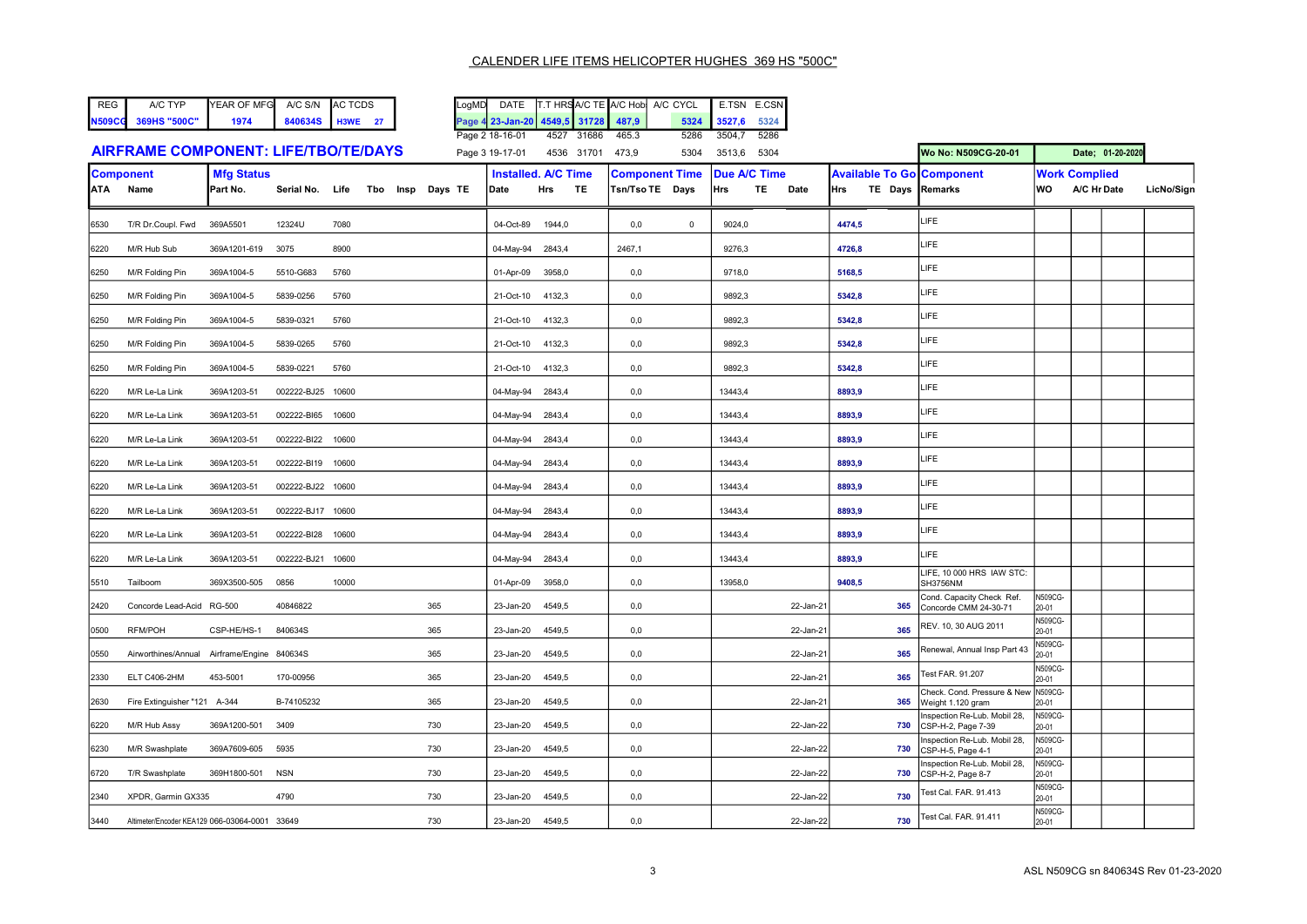| REG | A/C TYP             | YEAR OF MFG A/C S/N AC TCDS |              |    |
|-----|---------------------|-----------------------------|--------------|----|
|     | N509CG 369HS "500C" | 1974                        | 840634S H3WE | 27 |

LogMD DATE T.T HRSA/C TE A/C Hob A/C CYCL E.TSN E.CSN Page 4 23-Jan-20 4549,5 31728 487,9 5324 3527,6 5324<br>Page 2 18-16-01 4527 31686 465.3 5286 3504,7 5286 Page 2 18-27 31686 465.3

|                                             | Faut 4 10 - 10 - V 1 | 77 HJ Z          | טטטונט +טטונ | ບເບບ |        | ັບ∠ບບ |                     |                  |
|---------------------------------------------|----------------------|------------------|--------------|------|--------|-------|---------------------|------------------|
| <b>AIRFRAME COMPONENT: LIFE/TBO/TE/DAYS</b> | Page 3 19-17-01      | 4536 31701 473,9 |              | 5304 | 3513.6 | 5304  | Wo No: N509CG-20-01 | Date: 01-20-2020 |

| <b>ATA</b> | <b>Component</b><br>Name                      | <b>Mfg Status</b><br>Part No. | Serial No.        | Life  | Tbo Insp Days TE | Date      | <b>Installed. A/C Time</b><br><b>Hrs</b><br>TE | <b>Component Time</b><br>Tsn/Tso TE Days | <b>Due A/C Time</b><br>TE 1<br>Hrs<br>Date | <b>Available To Go Component</b><br>TE Days Remarks<br>Hrs |                                                    | lwo.                    | <b>Work Complied</b><br>A/C Hr Date | LicNo/Sign |
|------------|-----------------------------------------------|-------------------------------|-------------------|-------|------------------|-----------|------------------------------------------------|------------------------------------------|--------------------------------------------|------------------------------------------------------------|----------------------------------------------------|-------------------------|-------------------------------------|------------|
| 6530       | T/R Dr.Coupl. Fwd                             | 369A5501                      | 12324U            | 7080  |                  | 04-Oct-89 | 1944,0                                         | 0,0<br>$\mathbf 0$                       | 9024,0                                     | 4474,5                                                     | LIFE                                               |                         |                                     |            |
| 6220       | M/R Hub Sub                                   | 369A1201-619                  | 3075              | 8900  |                  | 04-May-94 | 2843,4                                         | 2467,1                                   | 9276,3                                     | 4726,8                                                     | LIFE                                               |                         |                                     |            |
| 6250       | M/R Folding Pin                               | 369A1004-5                    | 5510-G683         | 5760  |                  | 01-Apr-09 | 3958,0                                         | 0,0                                      | 9718,0                                     | 5168,5                                                     | LIFE                                               |                         |                                     |            |
| 6250       | M/R Folding Pin                               | 369A1004-5                    | 5839-0256         | 5760  |                  | 21-Oct-10 | 4132,3                                         | 0,0                                      | 9892,3                                     | 5342,8                                                     | LIFE                                               |                         |                                     |            |
| 6250       | M/R Folding Pin                               | 369A1004-5                    | 5839-0321         | 5760  |                  | 21-Oct-10 | 4132,3                                         | 0,0                                      | 9892,3                                     | 5342,8                                                     | LIFE                                               |                         |                                     |            |
| 6250       | M/R Folding Pin                               | 369A1004-5                    | 5839-0265         | 5760  |                  | 21-Oct-10 | 4132,3                                         | 0,0                                      | 9892,3                                     | 5342,8                                                     | LIFE                                               |                         |                                     |            |
| 6250       | M/R Folding Pin                               | 369A1004-5                    | 5839-0221         | 5760  |                  | 21-Oct-10 | 4132,3                                         | 0,0                                      | 9892,3                                     | 5342,8                                                     | LIFE                                               |                         |                                     |            |
| 6220       | M/R Le-La Link                                | 369A1203-51                   | 002222-BJ25       | 10600 |                  | 04-May-94 | 2843,4                                         | 0,0                                      | 13443,4                                    | 8893,9                                                     | LIFE                                               |                         |                                     |            |
| 6220       | M/R Le-La Link                                | 369A1203-51                   | 002222-BI65       | 10600 |                  | 04-May-94 | 2843,4                                         | 0,0                                      | 13443,4                                    | 8893,9                                                     | LIFE                                               |                         |                                     |            |
| 6220       | M/R Le-La Link                                | 369A1203-51                   | 002222-BI22       | 10600 |                  | 04-May-94 | 2843,4                                         | 0,0                                      | 13443,4                                    | 8893,9                                                     | LIFE                                               |                         |                                     |            |
| 6220       | M/R Le-La Link                                | 369A1203-51                   | 002222-BI19       | 10600 |                  | 04-May-94 | 2843,4                                         | 0,0                                      | 13443,4                                    | 8893,9                                                     | <b>LIFE</b>                                        |                         |                                     |            |
| 6220       | M/R Le-La Link                                | 369A1203-51                   | 002222-BJ22 10600 |       |                  | 04-May-94 | 2843,4                                         | 0,0                                      | 13443,4                                    | 8893,9                                                     | LIFE                                               |                         |                                     |            |
| 6220       | M/R Le-La Link                                | 369A1203-51                   | 002222-BJ17 10600 |       |                  | 04-May-94 | 2843,4                                         | 0,0                                      | 13443,4                                    | 8893,9                                                     | LIFE                                               |                         |                                     |            |
| 6220       | M/R Le-La Link                                | 369A1203-51                   | 002222-BI28       | 10600 |                  | 04-May-94 | 2843,4                                         | 0,0                                      | 13443,4                                    | 8893,9                                                     | LIFE                                               |                         |                                     |            |
| 6220       | M/R Le-La Link                                | 369A1203-51                   | 002222-BJ21       | 10600 |                  | 04-May-94 | 2843,4                                         | 0,0                                      | 13443,4                                    | 8893,9                                                     | LIFE                                               |                         |                                     |            |
| 5510       | Tailboom                                      | 369X3500-505                  | 0856              | 10000 |                  | 01-Apr-09 | 3958,0                                         | 0,0                                      | 13958,0                                    | 9408,5                                                     | LIFE, 10 000 HRS IAW STC:<br><b>SH3756NM</b>       |                         |                                     |            |
| 2420       | Concorde Lead-Acid RG-500                     |                               | 40846822          |       | 365              | 23-Jan-20 | 4549,5                                         | 0,0                                      | 22-Jan-21                                  | 365                                                        | Cond. Capacity Check Ref.<br>Concorde CMM 24-30-71 | N509CG-<br>20-01        |                                     |            |
| 0500       | RFM/POH                                       | CSP-HE/HS-1                   | 840634S           |       | 365              | 23-Jan-20 | 4549,5                                         | 0,0                                      | 22-Jan-21                                  | 365                                                        | REV. 10, 30 AUG 2011                               | N509CG-<br>20-01        |                                     |            |
| 0550       | Airworthines/Annual                           | Airframe/Engine 840634S       |                   |       | 365              | 23-Jan-20 | 4549,5                                         | 0,0                                      | 22-Jan-21                                  | 365                                                        | Renewal, Annual Insp Part 43                       | N509CG-<br>20-01        |                                     |            |
| 2330       | ELT C406-2HM                                  | 453-5001                      | 170-00956         |       | 365              | 23-Jan-20 | 4549,5                                         | 0,0                                      | 22-Jan-21                                  | 365                                                        | est FAR. 91.207                                    | N509CG-<br>20-01        |                                     |            |
| 2630       | Fire Extinguisher "121 A-344                  |                               | B-74105232        |       | 365              | 23-Jan-20 | 4549,5                                         | 0,0                                      | 22-Jan-21                                  | 365                                                        | Check. Cond. Pressure & New<br>Weight 1.120 gram   | <b>N509CG-</b><br>20-01 |                                     |            |
| 6220       | M/R Hub Assy                                  | 369A1200-501                  | 3409              |       | 730              | 23-Jan-20 | 4549,5                                         | 0,0                                      | 22-Jan-22                                  | 730                                                        | spection Re-Lub. Mobil 28,<br>CSP-H-2, Page 7-39   | <b>N509CG-</b><br>20-01 |                                     |            |
| 6230       | M/R Swashplate                                | 369A7609-605                  | 5935              |       | 730              | 23-Jan-20 | 4549,5                                         | 0,0                                      | 22-Jan-22                                  | 730                                                        | nspection Re-Lub. Mobil 28,<br>CSP-H-5, Page 4-1   | N509CG-<br>20-01        |                                     |            |
| 6720       | T/R Swashplate                                | 369H1800-501                  | <b>NSN</b>        |       | 730              | 23-Jan-20 | 4549,5                                         | 0,0                                      | 22-Jan-22                                  | 730                                                        | nspection Re-Lub. Mobil 28,<br>CSP-H-2, Page 8-7   | N509CG-<br>20-01        |                                     |            |
| 2340       | XPDR, Garmin GX335                            |                               | 4790              |       | 730              | 23-Jan-20 | 4549,5                                         | 0,0                                      | 22-Jan-22                                  | 730                                                        | Fest Cal. FAR. 91.413                              | N509CG-<br>20-01        |                                     |            |
| 3440       | Altimeter/Encoder KEA129 066-03064-0001 33649 |                               |                   |       | 730              | 23-Jan-20 | 4549,5                                         | 0,0                                      | 22-Jan-22                                  | 730                                                        | Test Cal. FAR. 91.411                              | N509CG-<br>20-01        |                                     |            |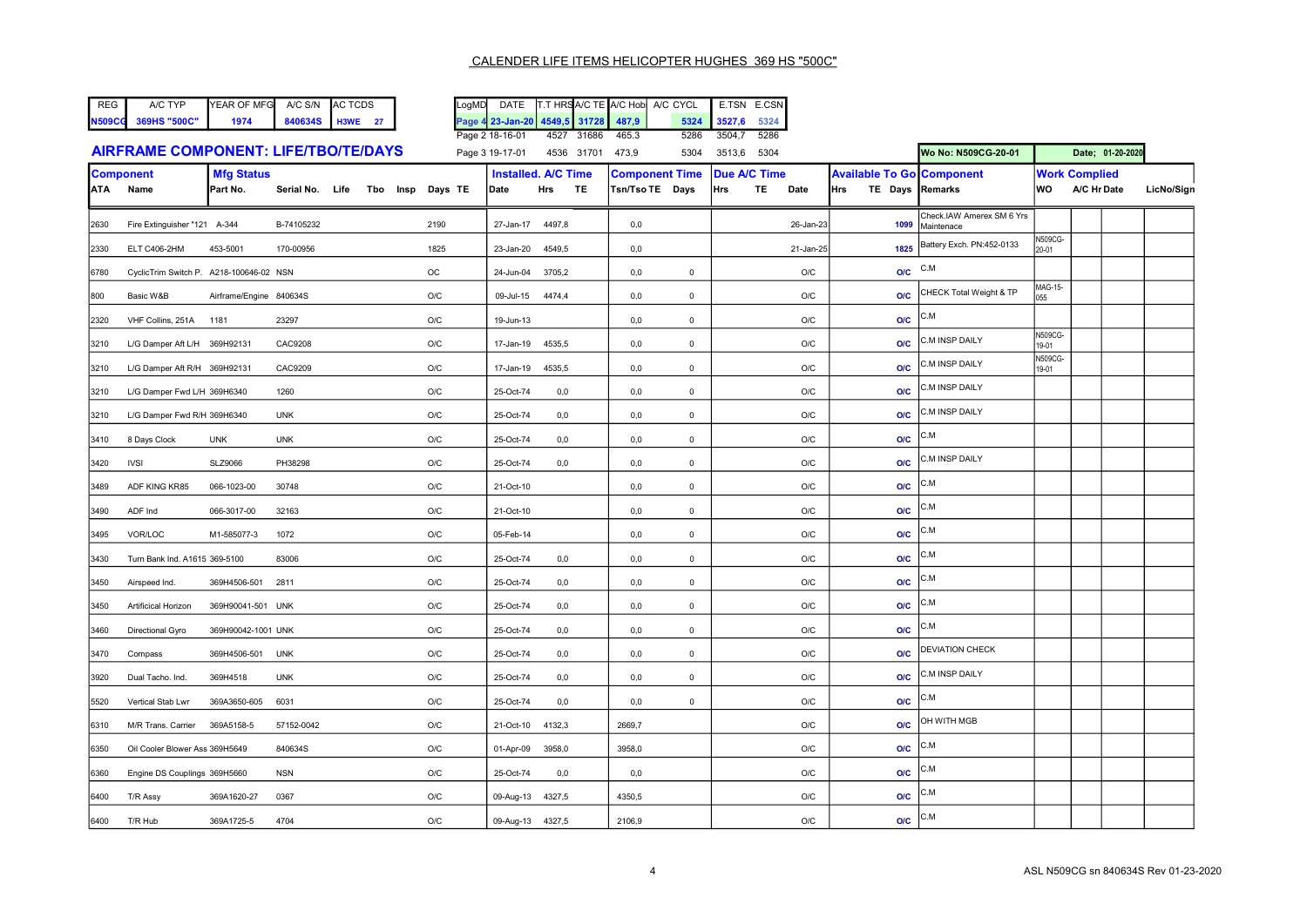| l REG | A/C TYP             | YEAR OF MFG A/C S/N AC TCDS |              |    |
|-------|---------------------|-----------------------------|--------------|----|
|       | N509CG 369HS "500C" | 1974                        | 840634S H3WE | 27 |

| <b>REG</b>    | A/C TYP      | YEAR OF MFG | A/C S/N      | <b>AC TCDS</b> | LoaMD | <b>DATE</b>                         |      |       | <b>IT.T HRSA/C TE A/C Hobi A/C CYCL</b> |      | E.TSN       | E.CSN |
|---------------|--------------|-------------|--------------|----------------|-------|-------------------------------------|------|-------|-----------------------------------------|------|-------------|-------|
| <b>N509CG</b> | 369HS "500C" | 1974        | 840634S H3WE |                |       | Page 4 23-Jan-20 4549.5 31728 487.9 |      |       |                                         |      | 5324 3527.6 | 5324  |
|               |              |             |              |                |       | Page 2 18-16-01                     | 4527 | 31686 | 465.3                                   | 5286 | 3504.7      | 5286  |

|                                             | Faut 4 10 - 10 - V 1 | 77 HJ Z          | טטטונט +טטונ | ບເບບ |        | ັບ∠ບບ |                     |                  |
|---------------------------------------------|----------------------|------------------|--------------|------|--------|-------|---------------------|------------------|
| <b>AIRFRAME COMPONENT: LIFE/TBO/TE/DAYS</b> | Page 3 19-17-01      | 4536 31701 473,9 |              | 5304 | 3513.6 | 5304  | Wo No: N509CG-20-01 | Date: 01-20-2020 |

| <b>Component</b> |                                         | <b>Mfg Status</b>       |            |                                  |                         |                  | <b>Installed. A/C Time</b> | <b>Component Time</b> |                | <b>Due A/C Time</b> |  |                         | <b>Available To Go Component</b> |                                         | <b>Work Complied</b>    |             |            |
|------------------|-----------------------------------------|-------------------------|------------|----------------------------------|-------------------------|------------------|----------------------------|-----------------------|----------------|---------------------|--|-------------------------|----------------------------------|-----------------------------------------|-------------------------|-------------|------------|
|                  | ATA Name                                | Part No.                |            | Serial No. Life Tbo Insp Days TE |                         | Date             | Hrs<br><b>TE</b>           | Tsn/Tso TE Days       |                | Hrs                 |  | TE Date                 | TE Days Remarks<br><b>Hrs</b>    |                                         | WO                      | A/C Hr Date | LicNo/Sign |
| 2630             | Fire Extinguisher "121 A-344            |                         | B-74105232 |                                  | 2190                    | 27-Jan-17        | 4497,8                     | 0,0                   |                |                     |  | 26-Jan-23               | 1099                             | Check.IAW Amerex SM 6 Yrs<br>Maintenace |                         |             |            |
| 2330             | ELT C406-2HM                            | 453-5001                | 170-00956  |                                  | 1825                    | 23-Jan-20        | 4549,5                     | 0,0                   |                |                     |  | 21-Jan-25               | 1825                             | Battery Exch. PN:452-0133               | <b>N509CG-</b><br>20-01 |             |            |
| 6780             | CyclicTrim Switch P. A218-100646-02 NSN |                         |            |                                  | $_{\rm OC}$             | 24-Jun-04        | 3705,2                     | 0,0                   | $\mathsf 0$    |                     |  | O/C                     | O/C                              | C.M                                     |                         |             |            |
| 800              | Basic W&B                               | Airframe/Engine 840634S |            |                                  | O/C                     | 09-Jul-15        | 4474,4                     | 0,0                   | $\mathsf 0$    |                     |  | O/C                     | <b>O/C</b>                       | CHECK Total Weight & TP                 | MAG-15-<br>055          |             |            |
| 2320             | VHF Collins, 251A 1181                  |                         | 23297      |                                  | O/C                     | 19-Jun-13        |                            | 0,0                   | $\overline{0}$ |                     |  | O/C                     | O/C                              | C.M                                     |                         |             |            |
| 3210             | L/G Damper Aft L/H 369H92131            |                         | CAC9208    |                                  | $\mathsf{O}/\mathsf{C}$ | 17-Jan-19        | 4535,5                     | 0,0                   | $\mathsf 0$    |                     |  | O/C                     | O/C                              | C.M INSP DAILY                          | N509CG-<br>19-01        |             |            |
| 3210             | L/G Damper Aft R/H 369H92131            |                         | CAC9209    |                                  | O/C                     | 17-Jan-19        | 4535,5                     | $_{0,0}$              | $\mathbf 0$    |                     |  | O/C                     | <b>O/C</b>                       | C.M INSP DAILY                          | N509CG-<br>19-01        |             |            |
| 3210             | L/G Damper Fwd L/H 369H6340             |                         | 1260       |                                  | $\mathsf{O}/\mathsf{C}$ | 25-Oct-74        | 0,0                        | 0,0                   | $\mathsf 0$    |                     |  | O/C                     | <b>O/C</b>                       | C.M INSP DAILY                          |                         |             |            |
| 3210             | L/G Damper Fwd R/H 369H6340             |                         | <b>UNK</b> |                                  | $\mathsf{O}/\mathsf{C}$ | 25-Oct-74        | 0,0                        | 0,0                   | $\mathsf 0$    |                     |  | O/C                     | <b>O/C</b>                       | C.M INSP DAILY                          |                         |             |            |
| 3410             | 8 Days Clock                            | <b>UNK</b>              | <b>UNK</b> |                                  | $\mathsf{O}/\mathsf{C}$ | 25-Oct-74        | 0,0                        | 0,0                   | $\mathsf 0$    |                     |  | O/C                     | O/C                              | C.M                                     |                         |             |            |
| 3420             | <b>IVSI</b>                             | <b>SLZ9066</b>          | PH38298    |                                  | O/C                     | 25-Oct-74        | 0,0                        | 0,0                   | $\mathbf 0$    |                     |  | O/C                     | <b>O/C</b>                       | C.M INSP DAILY                          |                         |             |            |
| 3489             | ADF KING KR85                           | 066-1023-00             | 30748      |                                  | O/C                     | 21-Oct-10        |                            | 0,0                   | $\mathsf 0$    |                     |  | O/C                     | <b>O/C</b>                       | C.M                                     |                         |             |            |
| 3490             | ADF Ind                                 | 066-3017-00             | 32163      |                                  | O/C                     | 21-Oct-10        |                            | 0,0                   | $\mathsf 0$    |                     |  | O/C                     | <b>O/C</b>                       | C.M                                     |                         |             |            |
| 3495             | VOR/LOC                                 | M1-585077-3             | 1072       |                                  | O/C                     | 05-Feb-14        |                            | 0,0                   | $\mathbf 0$    |                     |  | O/C                     | <b>O/C</b>                       | C.M                                     |                         |             |            |
| 3430             | Turn Bank Ind. A1615 369-5100           |                         | 83006      |                                  | $\mathsf{O}/\mathsf{C}$ | 25-Oct-74        | 0,0                        | 0,0                   | $\overline{0}$ |                     |  | O/C                     | O/C                              | C.M                                     |                         |             |            |
| 3450             | Airspeed Ind.                           | 369H4506-501            | 2811       |                                  | O/C                     | 25-Oct-74        | $_{0,0}$                   | 0,0                   | $\mathsf 0$    |                     |  | O/C                     | <b>O/C</b>                       | C.M                                     |                         |             |            |
| 3450             | Artificical Horizon                     | 369H90041-501 UNK       |            |                                  | O/C                     | 25-Oct-74        | 0,0                        | 0,0                   | $\mathsf 0$    |                     |  | O/C                     | O/C                              | C.M                                     |                         |             |            |
| 3460             | Directional Gyro                        | 369H90042-1001 UNK      |            |                                  | $\mathsf{O}/\mathsf{C}$ | 25-Oct-74        | 0,0                        | 0,0                   | $\mathsf 0$    |                     |  | $\mathsf{O}/\mathsf{C}$ | O/C                              | C.M                                     |                         |             |            |
| 3470             | Compass                                 | 369H4506-501            | <b>UNK</b> |                                  | O/C                     | 25-Oct-74        | $_{0,0}$                   | 0,0                   | $\mathsf 0$    |                     |  | O/C                     | O/C                              | <b>DEVIATION CHECK</b>                  |                         |             |            |
| 3920             | Dual Tacho. Ind.                        | 369H4518                | <b>UNK</b> |                                  | O/C                     | 25-Oct-74        | 0,0                        | 0,0                   | $\mathsf 0$    |                     |  | O/C                     | <b>O/C</b>                       | C.M INSP DAILY                          |                         |             |            |
| 5520             | Vertical Stab Lwr                       | 369A3650-605            | 6031       |                                  | O/C                     | 25-Oct-74        | 0,0                        | 0,0                   | $\mathbf 0$    |                     |  | O/C                     | <b>O/C</b>                       | C.M                                     |                         |             |            |
| 6310             | M/R Trans. Carrier                      | 369A5158-5              | 57152-0042 |                                  | $\mathsf{O}/\mathsf{C}$ | 21-Oct-10        | 4132,3                     | 2669,7                |                |                     |  | $\mathsf{O}/\mathsf{C}$ | <b>O/C</b>                       | OH WITH MGB                             |                         |             |            |
| 6350             | Oil Cooler Blower Ass 369H5649          |                         | 840634S    |                                  | O/C                     | 01-Apr-09        | 3958,0                     | 3958,0                |                |                     |  | O/C                     | O/C                              | C.M                                     |                         |             |            |
| 6360             | Engine DS Couplings 369H5660            |                         | <b>NSN</b> |                                  | $\mathsf{O}/\mathsf{C}$ | 25-Oct-74        | 0,0                        | 0,0                   |                |                     |  | O/C                     | O/C                              | C.M                                     |                         |             |            |
| 6400             | T/R Assy                                | 369A1620-27             | 0367       |                                  | O/C                     | 09-Aug-13        | 4327,5                     | 4350,5                |                |                     |  | O/C                     | O/C                              | C.M                                     |                         |             |            |
| 6400             | T/R Hub                                 | 369A1725-5              | 4704       |                                  | O/C                     | 09-Aug-13 4327,5 |                            | 2106,9                |                |                     |  | O/C                     | O/C                              | C.M                                     |                         |             |            |